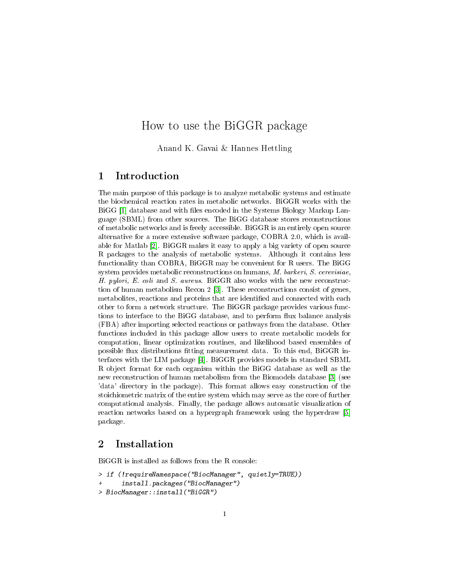# How to use the BiGGR package

Anand K. Gavai & Hannes Hettling

# 1 Introduction

The main purpose of this package is to analyze metabolic systems and estimate the biochemical reaction rates in metabolic networks. BiGGR works with the BiGG [\[1\]](#page-10-0) database and with files encoded in the Systems Biology Markup Language (SBML) from other sources. The BiGG database stores reconstructions of metabolic networks and is freely accessible. BiGGR is an entirely open source alternative for a more extensive software package, COBRA 2.0, which is available for Matlab [\[2\]](#page-10-1). BiGGR makes it easy to apply a big variety of open source R packages to the analysis of metabolic systems. Although it contains less functionality than COBRA, BiGGR may be convenient for R users. The BiGG system provides metabolic reconstructions on humans, M. barkeri, S. cerevisiae, H. pylori, E. coli and S. aureus. BiGGR also works with the new reconstruction of human metabolism Recon 2 [\[3\]](#page-10-2). These reconstructions consist of genes, metabolites, reactions and proteins that are identified and connected with each other to form a network structure. The BiGGR package provides various functions to interface to the BiGG database, and to perform flux balance analysis (FBA) after importing selected reactions or pathways from the database. Other functions included in this package allow users to create metabolic models for computation, linear optimization routines, and likelihood based ensembles of possible flux distributions fitting measurement data. To this end,  $BiGGR$  interfaces with the LIM package [\[4\]](#page-11-0). BiGGR provides models in standard SBML R object format for each organism within the BiGG database as well as the new reconstruction of human metabolism from the Biomodels database [\[3\]](#page-10-2) (see 'data' directory in the package). This format allows easy construction of the stoichiometric matrix of the entire system which may serve as the core of further computational analysis. Finally, the package allows automatic visualization of reaction networks based on a hypergraph framework using the hyperdraw [\[5\]](#page-11-1) package.

# 2 Installation

BiGGR is installed as follows from the R console:

```
> if (!requireNamespace("BiocManager", quietly=TRUE))
```

```
install.packages("BiocManager")
```

```
> BiocManager::install("BiGGR")
```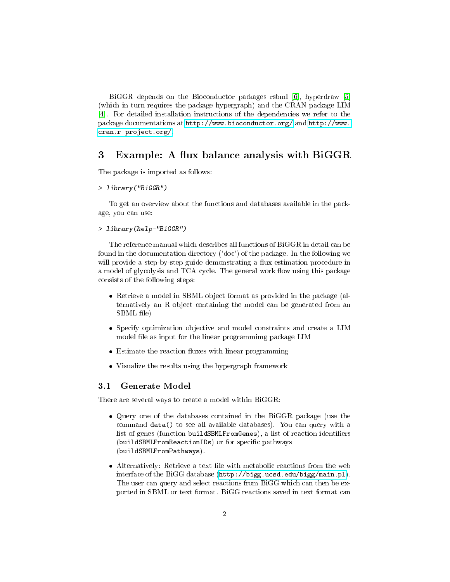BiGGR depends on the Bioconductor packages rsbml [\[6\]](#page-11-2), hyperdraw [\[5\]](#page-11-1) (which in turn requires the package hypergraph) and the CRAN package LIM [\[4\]](#page-11-0). For detailed installation instructions of the dependencies we refer to the package documentations at <http://www.bioconductor.org/> and [http://www.](http://www.cran.r-project.org/) [cran.r-project.org/.](http://www.cran.r-project.org/)

# 3 Example: A flux balance analysis with BiGGR

The package is imported as follows:

#### > library("BiGGR")

To get an overview about the functions and databases available in the package, you can use:

#### > library(help="BiGGR")

The reference manual which describes all functions of BiGGR in detail can be found in the documentation directory ('doc') of the package. In the following we will provide a step-by-step guide demonstrating a flux estimation procedure in a model of glycolysis and TCA cycle. The general work flow using this package consists of the following steps:

- Retrieve a model in SBML object format as provided in the package (alternatively an R object containing the model can be generated from an SBML file)
- Specify optimization objective and model constraints and create a LIM model file as input for the linear programmimg package LIM
- $\bullet$  Estimate the reaction fluxes with linear programming
- Visualize the results using the hypergraph framework

### 3.1 Generate Model

There are several ways to create a model within BiGGR:

- Query one of the databases contained in the BiGGR package (use the command data() to see all available databases). You can query with a list of genes (function buildSBMLFromGenes), a list of reaction identifiers (buildSBMLFromReactionIDs) or for specific pathways (buildSBMLFromPathways).
- $\bullet$  Alternatively: Retrieve a text file with metabolic reactions from the web interface of the BiGG database [\(http://bigg.ucsd.edu/bigg/main.pl\)](http://bigg.ucsd.edu/bigg/main.pl). The user can query and select reactions from BiGG which can then be exported in SBML or text format. BiGG reactions saved in text format can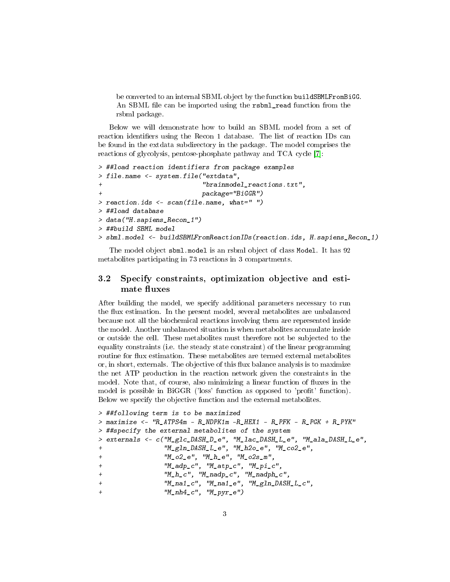be converted to an internal SBML object by the function buildSBMLFromBiGG. An SBML file can be imported using the rsbml\_read function from the rsbml package.

Below we will demonstrate how to build an SBML model from a set of reaction identifiers using the Recon 1 database. The list of reaction IDs can be found in the extdata subdirectory in the package. The model comprises the reactions of glycolysis, pentose-phosphate pathway and TCA cycle [\[7\]](#page-11-3):

```
> ##load reaction identifiers from package examples
> file.name <- system.file("extdata",
+ "brainmodel_reactions.txt",
+ package="BiGGR")
> reaction.ids <- scan(file.name, what=" ")
> ##load database
> data("H.sapiens_Recon_1")
> ##build SBML model
> sbml.model <- buildSBMLFromReactionIDs(reaction.ids, H.sapiens_Recon_1)
```
The model object sbml.model is an rsbml object of class Model. It has 92 metabolites participating in 73 reactions in 3 compartments.

## 3.2 Specify constraints, optimization objective and estimate fluxes

After building the model, we specify additional parameters necessary to run the flux estimation. In the present model, several metabolites are unbalanced because not all the biochemical reactions involving them are represented inside the model. Another unbalanced situation is when metabolites accumulate inside or outside the cell. These metabolites must therefore not be subjected to the equality constraints (i.e. the steady state constraint) of the linear programming routine for flux estimation. These metabolites are termed external metabolites or, in short, externals. The objective of this flux balance analysis is to maximize the net ATP production in the reaction network given the constraints in the model. Note that, of course, also minimizing a linear function of fluxes in the model is possible in BiGGR ('loss' function as opposed to 'profit' function). Below we specify the objective function and the external metabolites.

```
> ##following term is to be maximized
> maximize <- "R ATPS4m - R NDPK1m -R HEX1 - R PFK - R PGK + R PYK"
> ##specify the external metabolites of the system
> externals <- c("M_glc_DASH_D_e", "M_lac_DASH_L_e", "M_ala_DASH_L_e",
+ "M_gln_DASH_L_e", "M_h2o_e", "M_co2_e",
+ "M_02_e", "M_h_e", "M_02_sm",
+ "M_adp_c", "M_atp_c", "M_pi_c",
+ "M_h_c", "M_nadp_c", "M_nadph_c",
+ "M_na1_c", "M_na1_e", "M_gln_DASH_L_c",
               ''M_{n}nh4_{c}'', ''M_{p}yr_{e''}
```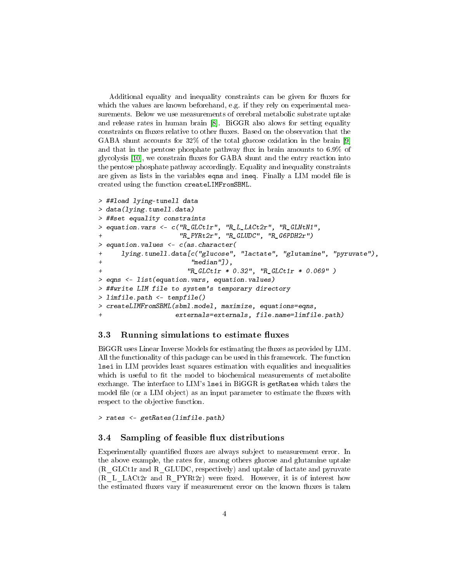Additional equality and inequality constraints can be given for fluxes for which the values are known beforehand, e.g. if they rely on experimental measurements. Below we use measurements of cerebral metabolic substrate uptake and release rates in human brain [\[8\]](#page-11-4). BiGGR also alows for setting equality constraints on fluxes relative to other fluxes. Based on the observation that the GABA shunt accounts for 32% of the total glucose oxidation in the brain [\[9\]](#page-11-5) and that in the pentose phosphate pathway flux in brain amounts to  $6.9\%$  of glycolysis  $[10]$ , we constrain fluxes for GABA shunt and the entry reaction into the pentose phosphate pathway accordingly. Equality and inequality constraints are given as lists in the variables eqns and ineq. Finally a LIM model file is created using the function createLIMFromSBML.

```
> ##load lying-tunell data
> data(lying.tunell.data)
> ##set equality constraints
> equation.vars <- c("R_GLCt1r", "R_L_LACt2r", "R_GLNtN1",
                    "R_PYRt2r", "R_GLUDC", "R_GGPDH2r")> equation.values <- c(as.character(
     lying.tunell.data[c("glucose", "lactate", "glutamine", "pyruvate"),
                       "median"],
+ "R_GLCt1r * 0.32", "R_GLCt1r * 0.069" )
> eqns <- list(equation.vars, equation.values)
> ##write LIM file to system's temporary directory
> limfile.path <- tempfile()
> createLIMFromSBML(sbml.model, maximize, equations=eqns,
+ externals=externals, file.name=limfile.path)
```
## <span id="page-3-0"></span>3.3 Running simulations to estimate fluxes

BiGGR uses Linear Inverse Models for estimating the fluxes as provided by LIM. All the functionality of this package can be used in this framework. The function lsei in LIM provides least squares estimation with equalities and inequalities which is useful to fit the model to biochemical measurements of metabolite exchange. The interface to LIM's lsei in BiGGR is getRates which takes the model file (or a LIM object) as an input parameter to estimate the fluxes with respect to the objective function.

> rates <- getRates(limfile.path)

#### 3.4 Sampling of feasible flux distributions

Experimentally quantified fluxes are always subject to measurement error. In the above example, the rates for, among others glucose and glutamine uptake (R\_GLCt1r and R\_GLUDC, respectively) and uptake of lactate and pyruvate (R\_L\_LACt2r and R\_PYRt2r) were fixed. However, it is of interest how the estimated fluxes vary if measurement error on the known fluxes is taken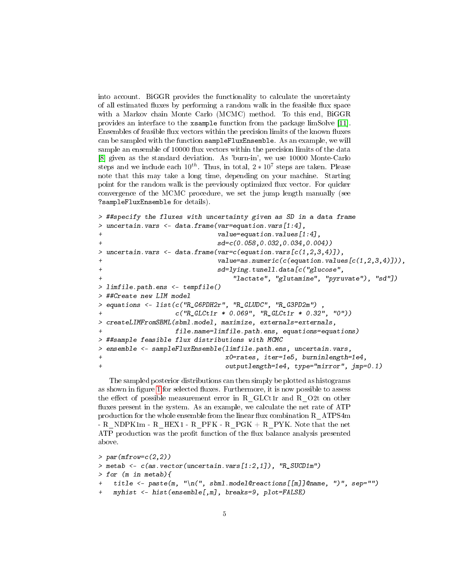into account. BiGGR provides the functionality to calculate the uncertainty of all estimated fluxes by performing a random walk in the feasible flux space with a Markov chain Monte Carlo (MCMC) method. To this end, BiGGR provides an interface to the xsample function from the package limSolve [\[11\]](#page-11-7). Ensembles of feasible flux vectors within the precision limits of the known fluxes can be sampled with the function sampleFluxEnsemble. As an example, we will sample an ensemble of 10000 flux vectors within the precision limits of the data [\[8\]](#page-11-4) given as the standard deviation. As 'burn-in', we use 10000 Monte-Carlo steps and we include each  $10^{th}$ . Thus, in total,  $2 * 10^7$  steps are taken. Please note that this may take a long time, depending on your machine. Starting point for the random walk is the previously optimized flux vector. For quicker convergence of the MCMC procedure, we set the jump length manually (see ?sampleFluxEnsemble for details).

```
> ##specify the fluxes with uncertainty given as SD in a data frame
> uncertain.vars <- data.frame(var=equation.vars[1:4],
+ value=equation.values[1:4],
                           sd=c(0.058,0.032,0.034,0.004))
> uncertain.vars \leq data.frame(var=c(equation.vars[c(1,2,3,4)]),
+ value=as.numeric(c(equation.values[c(1,2,3,4)])),
                           sd=lying.tunell.data[c("glucose",
                              "lactate", "glutamine", "pyruvate"), "sd"])
> limfile.path.ens <- tempfile()
> ##Create new LIM model
> equations <- list(c("R_G6PDH2r", "R_GLUDC", "R_G3PD2m") ,
                 c("R_GLCt1r * 0.069", "R_GLCt1r * 0.32", "0")> createLIMFromSBML(sbml.model, maximize, externals=externals,
+ file.name=limfile.path.ens, equations=equations)
> ##sample feasible flux distributions with MCMC
> ensemble <- sampleFluxEnsemble(limfile.path.ens, uncertain.vars,
+ x0=rates, iter=1e5, burninlength=1e4,
+ outputlength=1e4, type="mirror", jmp=0.1)
```
The sampled posterior distributions can then simply be plotted as histograms as shown in figure [1](#page-6-0) for selected fluxes. Furthermore, it is now possible to assess the effect of possible measurement error in R\_GLCt1r and R\_O2t on other fluxes present in the system. As an example, we calculate the net rate of ATP production for the whole ensemble from the linear flux combination R\_ATPS4m  $-R$  NDPK1m - R\_HEX1 - R\_PFK - R\_PGK + R\_PYK. Note that the net ATP production was the profit function of the flux balance analysis presented above.

```
> par(mfrow=c(2,2))> metab <- c(as.vector(uncertain.vars[1:2,1]), "R_SUCD1m")
> for (m in metab){
    title <- paste(m, "\n'\n', shm1.model@recations[<math>[m]</math>]@name, ")'", sep="")mynist \leftarrow hist(ensemble[,m], breaks=9, plot=FALSE)
```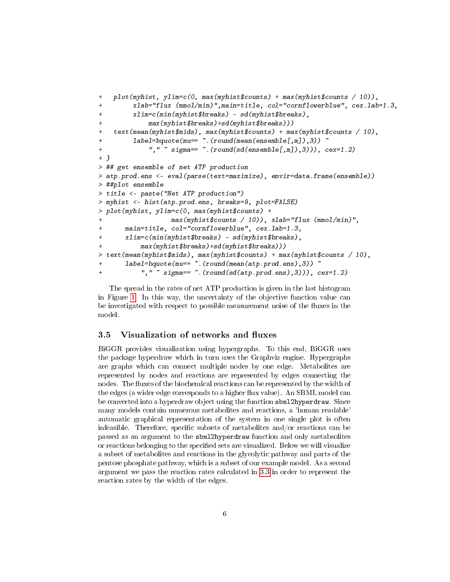```
+ plot(myhist, ylim=c(0, max(myhist$counts) + max(myhist$counts / 10)),
+ xlab="flux (mmol/min)",main=title, col="cornflowerblue", cex.lab=1.3,
+ xlim=c(min(myhist$breaks) - sd(myhist$breaks),
+ max(myhist$breaks)+sd(myhist$breaks)))
+ text(mean(myhist$mids), max(myhist$counts) + max(myhist$counts / 10),
+ label=bquote(mu== \tilde{h}. (round(mean(ensemble[,m]),3))
+ "," \tilde{ } sigma== \tilde{ }. (round(sd(ensemble[,m]),3))), cex=1.2)
+ }
> ## get ensemble of net ATP production
> atp.prod.ens <- eval(parse(text=maximize), envir=data.frame(ensemble))
> ##plot ensemble
> title <- paste("Net ATP production")
> myhist <- hist(atp.prod.ens, breaks=9, plot=FALSE)
> plot(myhist, ylim=c(0, max(myhist$counts) +
                  max(mynist$counts / 10)), xlab="flux (mmol/min)",+ main=title, col="cornflowerblue", cex.lab=1.3,
+ xlim=c(min(myhist$breaks) - sd(myhist$breaks),
          max(mynist$breaks)+sd(mynist$breaks))> text(mean(myhist$mids), max(myhist$counts) + max(myhist$counts / 10),
+ label=bquote(mu== \tilde{ }.(round(mean(atp.prod.ens),3))
+ "," ~ sigma== ~.(round(sd(atp.prod.ens),3))), cex=1.2)
```
The spread in the rates of net ATP production is given in the last histogram in Figure [1.](#page-6-0) In this way, the uncertainty of the objective function value can be investigated with respect to possible measurement noise of the fluxes in the model.

## 3.5 Visualization of networks and fluxes

BiGGR provides visualization using hypergraphs. To this end, BiGGR uses the package hyperdraw which in turn uses the Graphviz engine. Hypergraphs are graphs which can connect multiple nodes by one edge. Metabolites are represented by nodes and reactions are represented by edges connecting the nodes. The fluxes of the biochemical reactions can be represented by the width of the edges (a wider edge corresponds to a higher flux value). An SBML model can be converted into a hyperdraw object using the function sbml2hyperdraw. Since many models contain numerous metabolites and reactions, a 'human readable' automatic graphical representation of the system in one single plot is often infeasible. Therefore, specific subsets of metabolites and/or reactions can be passed as an argument to the sbml2hyperdraw function and only metabsolites or reactions belonging to the specified sets are visualized. Below we will visualize a subset of metabolites and reactions in the glycolytic pathway and parts of the pentose phosphate pathway, which is a subset of our example model. As a second argument we pass the reaction rates calculated in [3.3](#page-3-0) in order to represent the reaction rates by the width of the edges.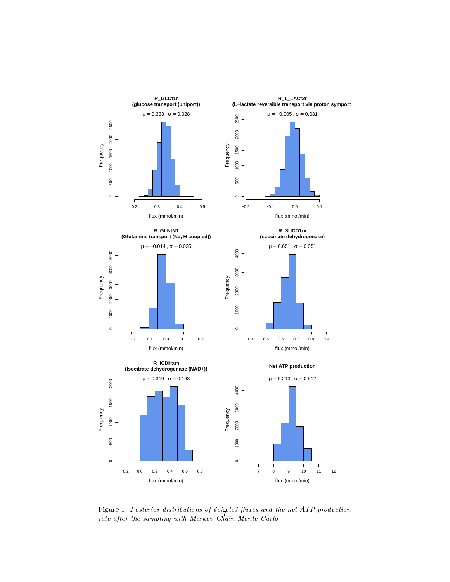

<span id="page-6-0"></span>Figure 1: Posterior distributions of delected fluxes and the net ATP production rate after the sampling with Markov Chain Monte Carlo.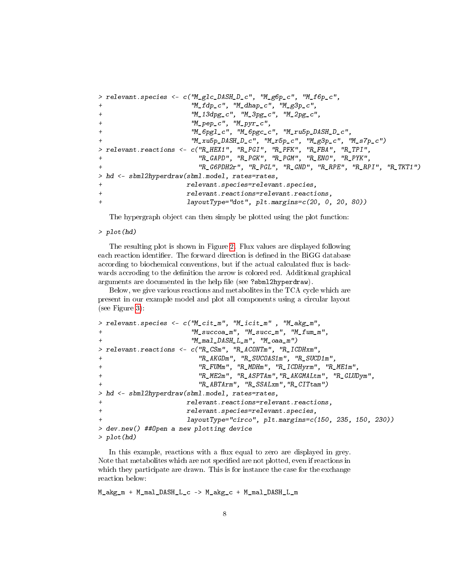```
> relevant.species <- c("M_glc_DASH_D_c", "M_g6p_c", "M_f6p_c",
+ "M_fdp_c", "M_dhap_c", "M_g3p_c",
+ "M_13dpg_c", "M_3pg_c", "M_2pg_c",
+ "M_pep_c", "M_pyr_c",
                   + "M_6pgl_c", "M_6pgc_c", "M_ru5p_DASH_D_c",
+ "M_xu5p_DASH_D_c", "M_r5p_c", "M_g3p_c", "M_s7p_c")
> relevant.reactions <- c("R_HEX1", "R_PGI", "R_PFK", "R_FBA", "R_TPI",
+ "R_GAPD", "R_PGK", "R_PGM", "R_ENO", "R_PYK",
                     "R_G6PDH2r", "R_PGL", "R_GND", "R_RPE", "R_RPI", "R_TKT1")
> hd <- sbml2hyperdraw(sbml.model, rates=rates,
+ relevant.species=relevant.species,
+ relevant.reactions=relevant.reactions,
+ layoutType="dot", plt.margins=c(20, 0, 20, 80))
```
The hypergraph object can then simply be plotted using the plot function:

> plot(hd)

The resulting plot is shown in Figure [2.](#page-8-0) Flux values are displayed following each reaction identifier. The forward direction is defined in the BiGG database according to biochemical conventions, but if the actual calculated flux is backwards accroding to the definition the arrow is colored red. Additional graphical arguments are documented in the help file (see ?sbml2hyperdraw).

Below, we give various reactions and metabolites in the TCA cycle which are present in our example model and plot all components using a circular layout (see Figure [3\)](#page-9-0):

```
> relevant.species <- c("M_cit_m", "M_icit_m" , "M_akg_m",
+ "M_succoa_m", "M_succ_m", "M_fum_m",
+ "M_mal_DASH_L_m", "M_oaa_m")
> relevant.reactions <- c("R_CSm", "R_ACONTm", "R_ICDHxm",
+ "R_AKGDm", "R_SUCOAS1m", "R_SUCD1m",
+ "R_FUMm", "R_MDHm", "R_ICDHyrm", "R_ME1m",
+ "R_ME2m", "R_ASPTAm","R_AKGMALtm", "R_GLUDym",
                    "R_ABTArm", "R_SSALxm", "R_CITtam")
> hd <- sbml2hyperdraw(sbml.model, rates=rates,
+ relevant.reactions=relevant.reactions,
+ relevant.species=relevant.species,
+ layoutType="circo", plt.margins=c(150, 235, 150, 230))
> dev.new() ##Open a new plotting device
> plot(hd)
```
In this example, reactions with a flux equal to zero are displayed in grey. Note that metabolites which are not specified are not plotted, even if reactions in which they participate are drawn. This is for instance the case for the exchange reaction below:

M\_akg\_m + M\_mal\_DASH\_L\_c -> M\_akg\_c + M\_mal\_DASH\_L\_m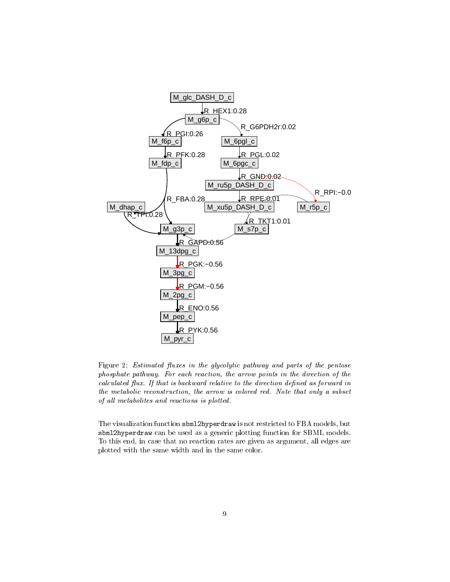

<span id="page-8-0"></span>Figure 2: Estimated fluxes in the glycolytic pathway and parts of the pentose phosphate pathway. For each reaction, the arrow points in the direction of the calculated flux. If that is backward relative to the direction defined as forward in the metabolic reconstruction, the arrow is colored red. Note that only a subset of all metabolites and reactions is plotted.

The visualization function sbml2hyperdraw is not restricted to FBA models, but sbml2hyperdraw can be used as a generic plotting function for SBML models. To this end, in case that no reaction rates are given as argument, all edges are plotted with the same width and in the same color.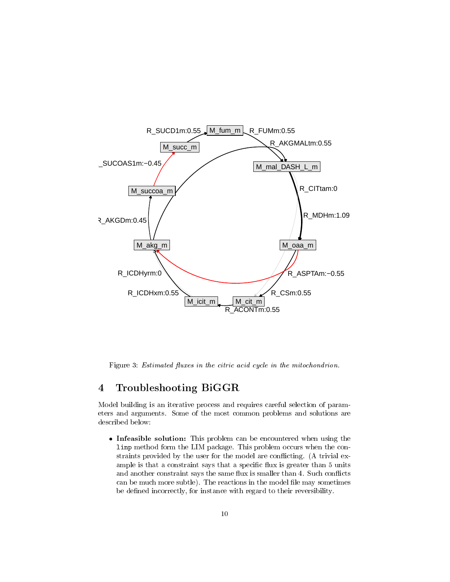

<span id="page-9-0"></span>Figure 3: Estimated fluxes in the citric acid cycle in the mitochondrion.

# 4 Troubleshooting BiGGR

Model building is an iterative process and requires careful selection of parameters and arguments. Some of the most common problems and solutions are described below:

**Infeasible solution:** This problem can be encountered when using the linp method form the LIM package. This problem occurs when the constraints provided by the user for the model are conflicting. (A trivial example is that a constraint says that a specific flux is greater than 5 units and another constraint says the same flux is smaller than 4. Such conflicts can be much more subtle). The reactions in the model file may sometimes be defined incorrectly, for instance with regard to their reversibility.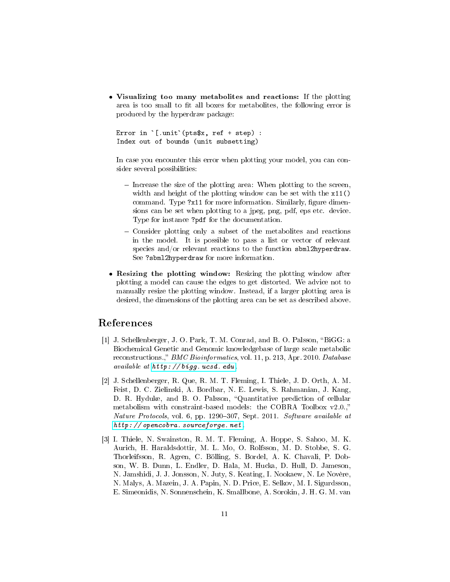Visualizing too many metabolites and reactions: If the plotting area is too small to fit all boxes for metabolites, the following error is<br>produced by the hyperdraw package:<br>Error in `[.unit`(pts\$x, ref + step) : produced by the hyperdraw package:

```
Index out of bounds (unit subsetting)
```
In case you encounter this error when plotting your model, you can consider several possibilities:

- $\overline{a}$  Increase the size of the plotting area: When plotting to the screen, width and height of the plotting window can be set with the x11() command. Type ?x11 for more information. Similarly, figure dimensions can be set when plotting to a jpeg, png, pdf, eps etc. device. Type for instance ?pdf for the documentation.
- Consider plotting only a subset of the metabolites and reactions in the model. It is possible to pass a list or vector of relevant species and/or relevant reactions to the function sbml2hyperdraw. See ?sbml2hyperdraw for more information.
- Resizing the plotting window: Resizing the plotting window after plotting a model can cause the edges to get distorted. We advice not to manually resize the plotting window. Instead, if a larger plotting area is desired, the dimensions of the plotting area can be set as described above.

# References

- <span id="page-10-0"></span>[1] J. Schellenberger, J. O. Park, T. M. Conrad, and B. O. Palsson, "BiGG: a Biochemical Genetic and Genomic knowledgebase of large scale metabolic reconstructions.," BMC Bioinformatics, vol. 11, p. 213, Apr. 2010. Database available at [http: // bigg. ucsd. edu](http://bigg.ucsd.edu) .
- <span id="page-10-1"></span>[2] J. Schellenberger, R. Que, R. M. T. Fleming, I. Thiele, J. D. Orth, A. M. Feist, D. C. Zielinski, A. Bordbar, N. E. Lewis, S. Rahmanian, J. Kang, D. R. Hyduke, and B. O. Palsson, "Quantitative prediction of cellular metabolism with constraint-based models: the COBRA Toolbox v2.0., Nature Protocols, vol. 6, pp. 1290-307, Sept. 2011. Software available at [http: // opencobra. sourceforge. net](http://opencobra.sourceforge.net) .
- <span id="page-10-2"></span>[3] I. Thiele, N. Swainston, R. M. T. Fleming, A. Hoppe, S. Sahoo, M. K. Aurich, H. Haraldsdottir, M. L. Mo, O. Rolfsson, M. D. Stobbe, S. G. Thorleifsson, R. Agren, C. Bölling, S. Bordel, A. K. Chavali, P. Dobson, W. B. Dunn, L. Endler, D. Hala, M. Hucka, D. Hull, D. Jameson, N. Jamshidi, J. J. Jonsson, N. Juty, S. Keating, I. Nookaew, N. Le Novère, N. Malys, A. Mazein, J. A. Papin, N. D. Price, E. Selkov, M. I. Sigurdsson, E. Simeonidis, N. Sonnenschein, K. Smallbone, A. Sorokin, J. H. G. M. van